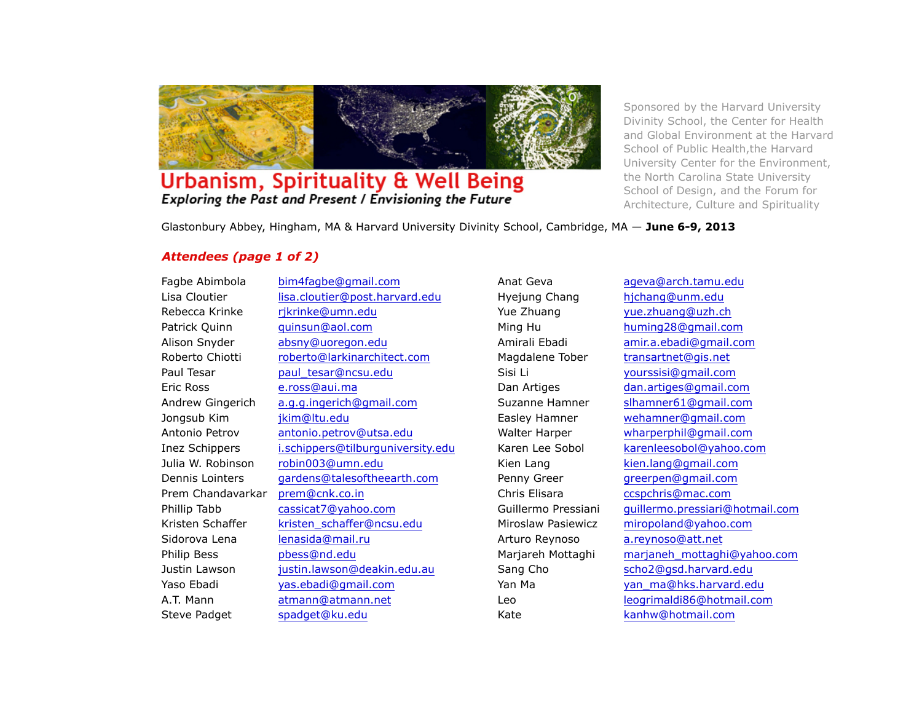

## Urbanism, Spirituality & Well Being Exploring the Past and Present / Envisioning the Future

Sponsored by the Harvard University Divinity School, the Center for Health and Global Environment at the Harvard School of Public Health,the Harvard University Center for the Environment, the North Carolina State University School of Design, and the Forum for Architecture, Culture and Spirituality

Glastonbury Abbey, Hingham, MA & Harvard University Divinity School, Cambridge, MA — **June 6-9, 2013**

## *Attendees (page 1 of 2)*

Lisa Cloutier lisa.cloutier@post.harvard.edu Hyejung Chang hjchang@unm.edu Rebecca Krinke rjkrinke@umn.edu Yue Zhuang yue.zhuang@uzh.ch Patrick Quinn quinsun@aol.com Ming Hu huming28@gmail.com Alison Snyder absny@uoregon.edu Amirali Ebadi amir.a.ebadi@gmail.com Roberto Chiotti roberto@larkinarchitect.com Magdalene Tober transartnet@gis.net Paul Tesar **paul tesar@ncsu.edu** Sisi Li Sisi Li yourssisi@gmail.com Eric Ross e.ross@aui.ma Dan Artiges dan.artiges@gmail.com Andrew Gingerich a.g.g.ingerich@gmail.com Suzanne Hamner slhamner61@gmail.com Jongsub Kim jkim@ltu.edu Easley Hamner wehamner@gmail.com Antonio Petrov antonio.petrov@utsa.edu Walter Harper wharperphil@gmail.com Inez Schippers i.schippers@tilburguniversity.edu Karen Lee Sobol karenleesobol@yahoo.com Julia W. Robinson robin003@umn.edu Kien Lang kien.lang@gmail.com Dennis Lointers gardens@talesoftheearth.com Penny Greer greerpen@gmail.com Prem Chandavarkar prem@cnk.co.in Chris Elisara ccspchris@mac.com Kristen Schaffer kristen schaffer@ncsu.edu Miroslaw Pasiewicz miropoland@yahoo.com Sidorova Lena lenasida@mail.ru Arturo Reynoso a.reynoso@att.net Justin Lawson *justin.lawson@deakin.edu.au* Sang Cho scho2@qsd.harvard.edu Yaso Ebadi yas.ebadi@gmail.com Yan Ma yan ma@hks.harvard.edu A.T. Mann atmann@atmann.net Leo Leo leogrimaldi86@hotmail.com Steve Padget spadget@ku.edu Kate Kate kanhw@hotmail.com

Fagbe Abimbola bim4fagbe@gmail.com Anat Geva ageva@arch.tamu.edu Phillip Tabb cassicat7@yahoo.com Guillermo Pressiani guillermo.pressiari@hotmail.com Philip Bess pbess@nd.edu Marjareh Mottaghi marjaneh\_mottaghi@yahoo.com